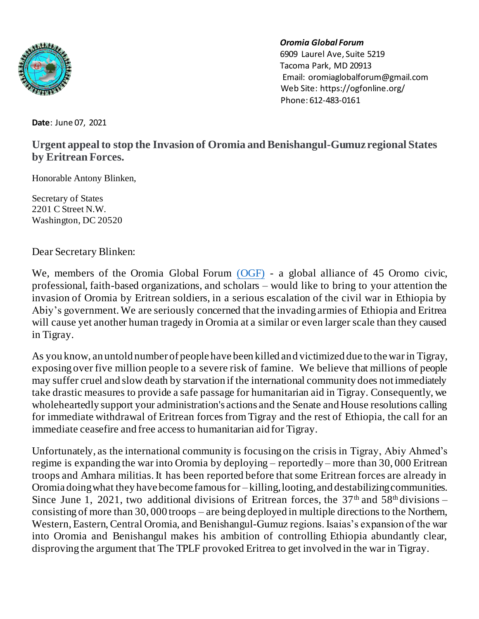

## *Oromia Global Forum*

6909 Laurel Ave, Suite 5219 Tacoma Park, MD 20913 Email[: oromiaglobalforum@gmail.com](about:blank) Web Site: [https://ogfonline.org/](about:blank) Phone: 612-483-0161

**Date**: June 07, 2021

## **Urgent appeal to stop the Invasion of Oromia and Benishangul-Gumuz regional States by Eritrean Forces.**

Honorable Antony Blinken,

Secretary of States 2201 C Street N.W. Washington, DC 20520

Dear Secretary Blinken:

We, members of the Oromia Global Forum [\(OGF\)](https://ogfonline.org/about/) - a global alliance of 45 Oromo civic, professional, faith-based organizations, and scholars – would like to bring to your attention the invasion of Oromia by Eritrean soldiers, in a serious escalation of the civil war in Ethiopia by Abiy's government. We are seriously concerned that the invading armies of Ethiopia and Eritrea will cause yet another human tragedy in Oromia at a similar or even larger scale than they caused in Tigray.

As you know, an untold number of people have been killed and victimized due to thewarin Tigray, exposing over five million people to a severe risk of famine. We believe that millions of people may suffer cruel and slow death by starvation if the international community does notimmediately take drastic measures to provide a safe passage for humanitarian aid in Tigray. Consequently, we wholeheartedly support your administration's actions and the Senate and House resolutions calling for immediate withdrawal of Eritrean forces from Tigray and the rest of Ethiopia, the call for an immediate ceasefire and free access to humanitarian aid for Tigray.

Unfortunately, as the international community is focusing on the crisis in Tigray, Abiy Ahmed's regime is expanding the war into Oromia by deploying – reportedly – more than 30, 000 Eritrean troops and Amhara militias.It has been reported before thatsome Eritrean forces are already in Oromia doing what they have become famous for – killing, looting, and destabilizing communities. Since June 1, 2021, two additional divisions of Eritrean forces, the  $37<sup>th</sup>$  and  $58<sup>th</sup>$  divisions – consisting of more than 30, 000 troops – are being deployed in multiple directions to the Northern, Western, Eastern, Central Oromia, and Benishangul-Gumuz regions. Isaias's expansion of the war into Oromia and Benishangul makes his ambition of controlling Ethiopia abundantly clear, disproving the argument that The TPLF provoked Eritrea to get involved in the war in Tigray.